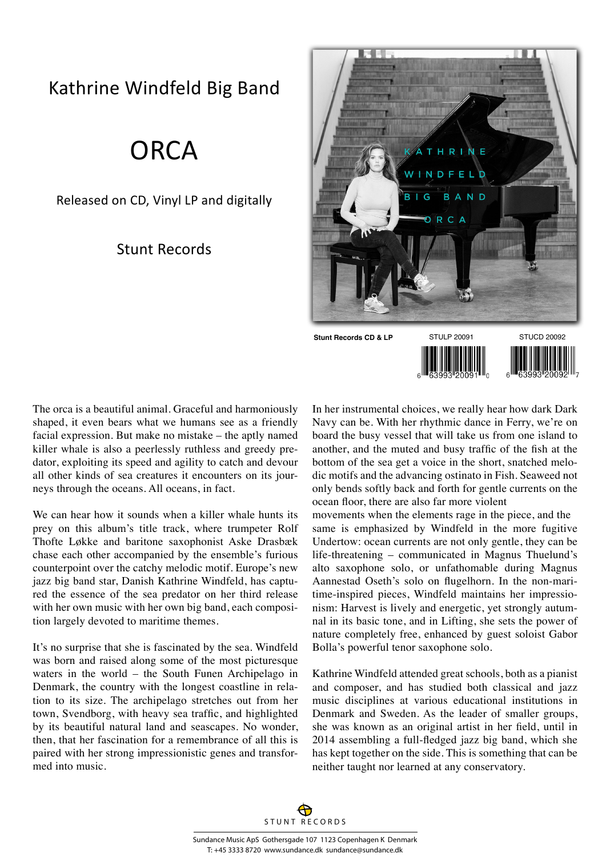## Kathrine Windfeld Big Band

**ORCA** 

Released on CD, Vinyl LP and digitally

Stunt Records







The orca is a beautiful animal. Graceful and harmoniously shaped, it even bears what we humans see as a friendly facial expression. But make no mistake – the aptly named killer whale is also a peerlessly ruthless and greedy predator, exploiting its speed and agility to catch and devour all other kinds of sea creatures it encounters on its journeys through the oceans. All oceans, in fact.

We can hear how it sounds when a killer whale hunts its prey on this album's title track, where trumpeter Rolf Thofte Løkke and baritone saxophonist Aske Drasbæk chase each other accompanied by the ensemble's furious counterpoint over the catchy melodic motif. Europe's new jazz big band star, Danish Kathrine Windfeld, has captured the essence of the sea predator on her third release with her own music with her own big band, each composition largely devoted to maritime themes.

It's no surprise that she is fascinated by the sea. Windfeld was born and raised along some of the most picturesque waters in the world – the South Funen Archipelago in Denmark, the country with the longest coastline in relation to its size. The archipelago stretches out from her town, Svendborg, with heavy sea traffic, and highlighted by its beautiful natural land and seascapes. No wonder, then, that her fascination for a remembrance of all this is paired with her strong impressionistic genes and transformed into music.

In her instrumental choices, we really hear how dark Dark Navy can be. With her rhythmic dance in Ferry, we're on board the busy vessel that will take us from one island to another, and the muted and busy traffic of the fish at the bottom of the sea get a voice in the short, snatched melodic motifs and the advancing ostinato in Fish. Seaweed not only bends softly back and forth for gentle currents on the ocean floor, there are also far more violent

movements when the elements rage in the piece, and the same is emphasized by Windfeld in the more fugitive Undertow: ocean currents are not only gentle, they can be life-threatening – communicated in Magnus Thuelund's alto saxophone solo, or unfathomable during Magnus Aannestad Oseth's solo on flugelhorn. In the non-maritime-inspired pieces, Windfeld maintains her impressionism: Harvest is lively and energetic, yet strongly autumnal in its basic tone, and in Lifting, she sets the power of nature completely free, enhanced by guest soloist Gabor Bolla's powerful tenor saxophone solo.

Kathrine Windfeld attended great schools, both as a pianist and composer, and has studied both classical and jazz music disciplines at various educational institutions in Denmark and Sweden. As the leader of smaller groups, she was known as an original artist in her field, until in 2014 assembling a full-fledged jazz big band, which she has kept together on the side. This is something that can be neither taught nor learned at any conservatory.